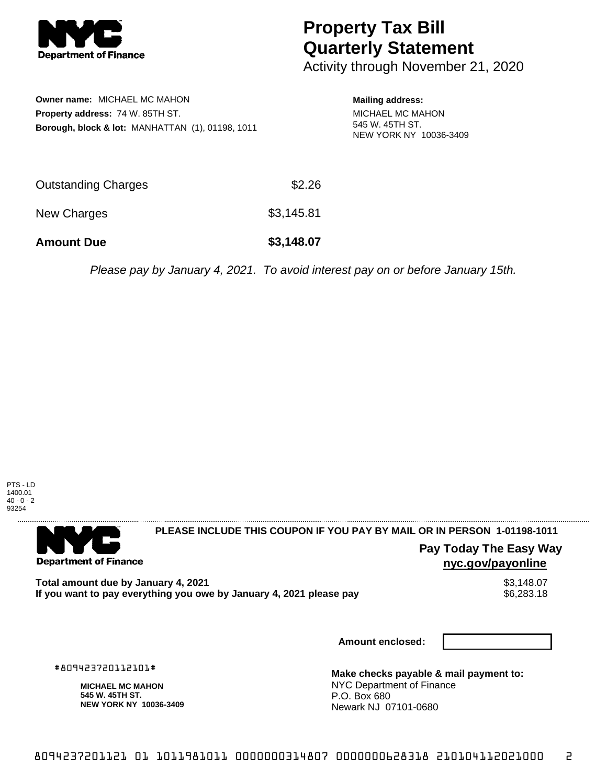

## **Property Tax Bill Quarterly Statement**

Activity through November 21, 2020

| <b>Owner name: MICHAEL MC MAHON</b>                         |
|-------------------------------------------------------------|
| <b>Property address: 74 W. 85TH ST.</b>                     |
| <b>Borough, block &amp; lot: MANHATTAN (1), 01198, 1011</b> |

**Mailing address:**

MICHAEL MC MAHON 545 W. 45TH ST. NEW YORK NY 10036-3409

| <b>Amount Due</b>          | \$3,148.07 |
|----------------------------|------------|
| New Charges                | \$3,145.81 |
| <b>Outstanding Charges</b> | \$2.26     |

Please pay by January 4, 2021. To avoid interest pay on or before January 15th.



. . . . . . . . . . . . . . . . .

**Department of Finance** 

**PLEASE INCLUDE THIS COUPON IF YOU PAY BY MAIL OR IN PERSON 1-01198-1011** 

**Pay Today The Easy Way nyc.gov/payonline**

Total amount due by January 4, 2021<br>If you want to pay everything you owe by January 4, 2021 please pay **show that the summan way of the se**6,283.18 If you want to pay everything you owe by January 4, 2021 please pay

**Amount enclosed:**

#809423720112101#

**MICHAEL MC MAHON 545 W. 45TH ST. NEW YORK NY 10036-3409**

**Make checks payable & mail payment to:** NYC Department of Finance P.O. Box 680 Newark NJ 07101-0680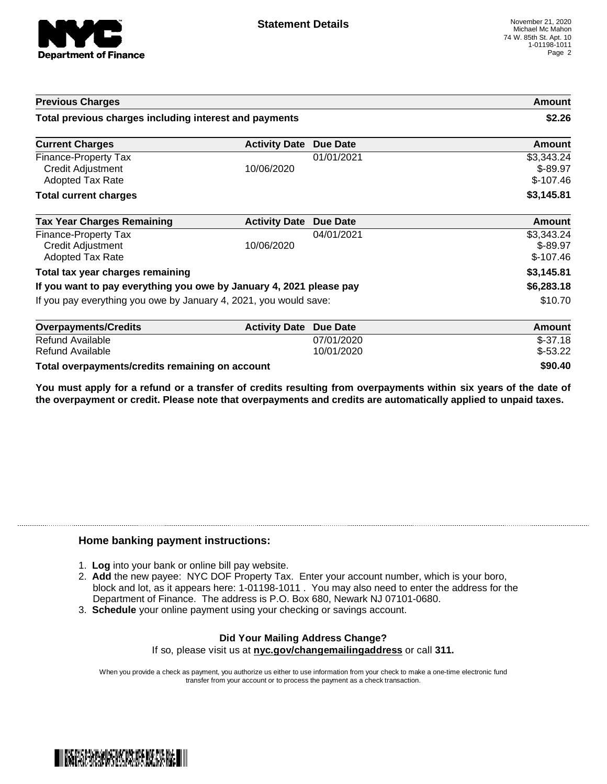

| <b>Previous Charges</b>                                                     |                      |                 | Amount                                |
|-----------------------------------------------------------------------------|----------------------|-----------------|---------------------------------------|
| Total previous charges including interest and payments                      |                      |                 | \$2.26                                |
| <b>Current Charges</b>                                                      | <b>Activity Date</b> | <b>Due Date</b> | Amount                                |
| <b>Finance-Property Tax</b><br>Credit Adjustment<br><b>Adopted Tax Rate</b> | 10/06/2020           | 01/01/2021      | \$3,343.24<br>$$-89.97$<br>$$-107.46$ |
| <b>Total current charges</b>                                                |                      |                 | \$3,145.81                            |
| <b>Tax Year Charges Remaining</b>                                           | <b>Activity Date</b> | <b>Due Date</b> | <b>Amount</b>                         |
| Finance-Property Tax<br>Credit Adjustment<br><b>Adopted Tax Rate</b>        | 10/06/2020           | 04/01/2021      | \$3,343.24<br>$$-89.97$<br>$$-107.46$ |
| Total tax year charges remaining                                            |                      |                 | \$3,145.81                            |
| If you want to pay everything you owe by January 4, 2021 please pay         |                      |                 | \$6,283.18                            |
| If you pay everything you owe by January 4, 2021, you would save:           |                      |                 | \$10.70                               |
| <b>Overpayments/Credits</b>                                                 | <b>Activity Date</b> | <b>Due Date</b> | <b>Amount</b>                         |
| Refund Available                                                            |                      | 07/01/2020      | $$-37.18$                             |
| Refund Available                                                            |                      | 10/01/2020      | $$-53.22$                             |

**Total overpayments/credits remaining on account \$90.40**

You must apply for a refund or a transfer of credits resulting from overpayments within six years of the date of **the overpayment or credit. Please note that overpayments and credits are automatically applied to unpaid taxes.**

## **Home banking payment instructions:**

- 1. **Log** into your bank or online bill pay website.
- 2. **Add** the new payee: NYC DOF Property Tax. Enter your account number, which is your boro, block and lot, as it appears here: 1-01198-1011 . You may also need to enter the address for the Department of Finance. The address is P.O. Box 680, Newark NJ 07101-0680.
- 3. **Schedule** your online payment using your checking or savings account.

## **Did Your Mailing Address Change?** If so, please visit us at **nyc.gov/changemailingaddress** or call **311.**

When you provide a check as payment, you authorize us either to use information from your check to make a one-time electronic fund transfer from your account or to process the payment as a check transaction.